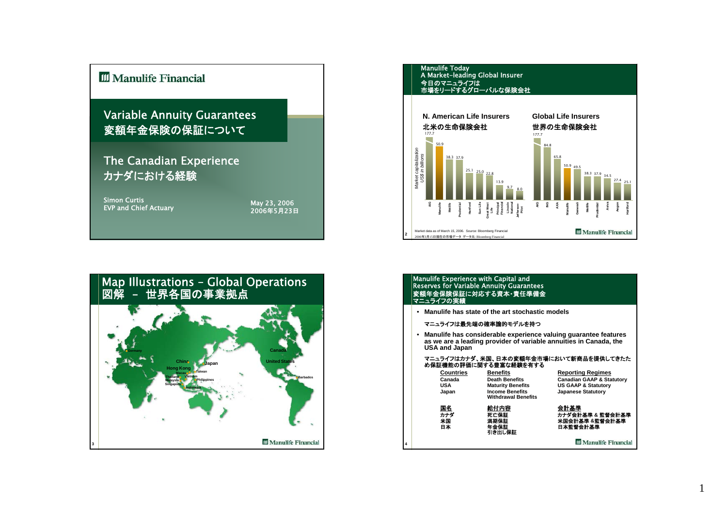





#### Manulife Experience with Capital and Reserves for Variable Annuity Guarantees 変額年金保険保証に対応する資本・責任準備金 マニュライフの実績

• **Manulife has state of the art stochastic models**

#### マニュライフは最先端の確率論的モデルを持つ

**4**

• **Manulife has considerable experience valuing guarantee features as we are a leading provider of variable annuities in Canada, the USA and Japan**

#### マニュライフはカナダ、米国、日本の変額年金市場において新商品を提供してきたた め保証機能の評価に関する豊富な経験を有する

| <b>Countries</b>      | <b>Benefits</b>                                      | <b>Reporting Regimes</b>                               |
|-----------------------|------------------------------------------------------|--------------------------------------------------------|
| Canada                | <b>Death Benefits</b>                                | <b>Canadian GAAP &amp; Statutory</b>                   |
| <b>USA</b>            | <b>Maturity Benefits</b>                             | <b>US GAAP &amp; Statutory</b>                         |
| Japan                 | <b>Income Benefits</b><br><b>Withdrawal Benefits</b> | <b>Japanese Statutory</b>                              |
| 国名<br>カナダ<br>米国<br>日本 | 給付内容<br>死亡保証<br>満期保証<br>年金保証                         | 会計基準<br>カナダ会計基準 & 監督会計基準<br>米国会計基準 &監督会計基準<br>日本監督会計基準 |
|                       | 引き出し保証                                               | <b>III</b> Manulife Financial                          |

1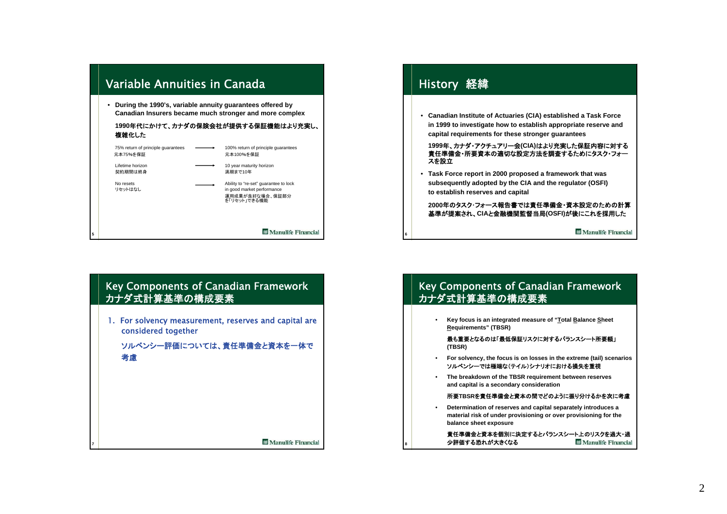

1. For solvency measurement, reserves and capital are considered together

**7**

ソルベンシー評価については、責任準備金と資本を一体で 考慮

**M** Manulife Financial

# History 経緯 • **Canadian Institute of Actuaries (CIA) established a Task Force in 1999 to investigate how to establish appropriate reserve and capital requirements for these stronger guarantees**

**<sup>1999</sup>**年、カナダ・アクチュアリー会**(CIA)**はより充実した保証内容に対する 責任準備金・所要資本の適切な設定方法を調査するためにタスク・フォースを設立

• **Task Force report in 2000 proposed a framework that was subsequently adopted by the CIA and the regulator (OSFI) to establish reserves and capital**

**6**

**8**

**2000**年のタスク・フォース報告書では責任準備金・資本設定のための計算基準が提案され、**CIA**と金融機関監督当局**(OSFI)**が後にこれを採用した

**M** Manulife Financial

# Key Components of Canadian Framework カナダ式計算基準の構成要素

• **Key focus is an integrated measure of "Total Balance Sheet Requirements" (TBSR)**

最も重要となるのは「最低保証リスクに対するバランスシート所要額」 **(TBSR)**

- • **For solvency, the focus is on losses in the extreme (tail) scenarios** ソルベンシーでは極端な(テイル)シナリオにおける損失を重視
- • **The breakdown of the TBSR requirement between reserves and capital is a secondary consideration**

### 所要**TBSR**を責任準備金と資本の間でどのように振り分けるかを次に考慮

• **Determination of reserves and capital separately introduces a material risk of under provisioning or over provisioning for the balance sheet exposure**

責任準備金と資本を個別に決定するとバランスシート上のリスクを過大・過 少評価する恐れが大きくなる**III** Manulife Financial

## 2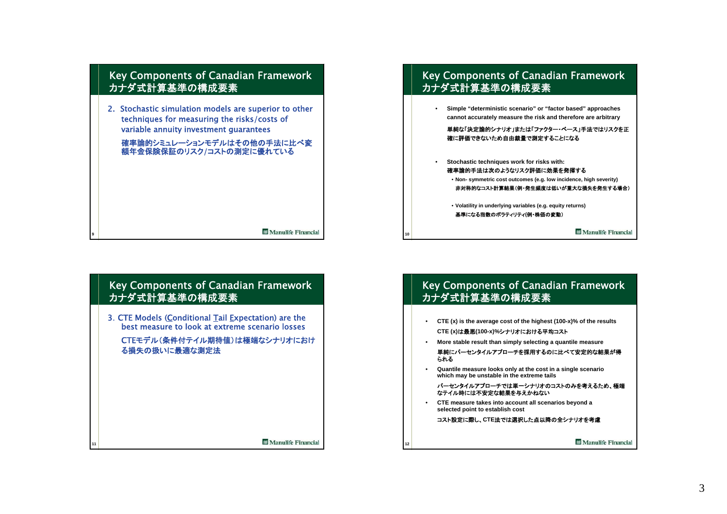

3.CTE Models (Conditional Tail Expectation) are the best measure to look at extreme scenario losses

**11**

CTEモデル(条件付テイル期待値)は極端なシナリオにおけ る損失の扱いに最適な測定法

**M** Manulife Financial

# Key Components of Canadian Framework カナダ式計算基準の構成要素

• **Simple "deterministic scenario" or "factor based" approaches cannot accurately measure the risk and therefore are arbitrary**

単純な「決定論的シナリオ」または「ファクター・ベース」手法ではリスクを正確に評価できないため自由裁量で測定することになる

• **Stochastic techniques work for risks with:** 確率論的手法は次のようなリスク評価に効果を発揮する• **Non- symmetric cost outcomes (e.g. low incidence, high severity)** 非対称的なコスト計算結果(例・発生頻度は低いが重大な損失を発生する場合)

• **Volatility in underlying variables (e.g. equity returns)** 基準になる指数のボラティリティ**(**例・株価の変動)

**10**

**12**

•

**Manulife Financial** 

# Key Components of Canadian Framework カナダ式計算基準の構成要素

- **CTE (x) is the average cost of the highest (100-x)% of the results CTE (x)**は最悪**(100-x)%**シナリオにおける平均コスト
- **More stable result than simply selecting a quantile measure**
- 単純にパーセンタイルアプローチを採用するのに比べて安定的な結果が得 られる
- • **Quantile measure looks only at the cost in a single scenario which may be unstable in the extreme tails**
	- パーセンタイルアプローチでは単一シナリオのコストのみを考えるため、極端なテイル時には不安定な結果を与えかねない
- **CTE measure takes into account all scenarios beyond a selected point to establish cost**

コスト設定に際し、**CTE**法では選択した点以降の全シナリオを考慮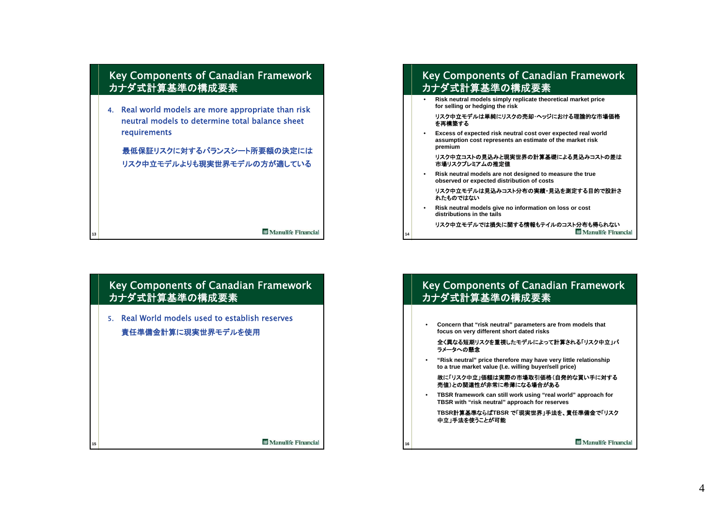

4. Real world models are more appropriate than risk neutral models to determine total balance sheet requirements

最低保証リスクに対するバランスシート所要額の決定にはリスク中立モデルよりも現実世界モデルの方が適している

**M** Manulife Financial

**M** Manulife Financial

## Key Components of Canadian Framework カナダ式計算基準の構成要素

5. Real World models used to establish reserves責任準備金計算に現実世界モデルを使用

**13**

**15**

# Key Components of Canadian Framework カナダ式計算基準の構成要素

• **Risk neutral models simply replicate theoretical market price for selling or hedging the risk**

#### リスク中立モデルは単純にリスクの売却・ヘッジにおける理論的な市場価格を再構築する

• **Excess of expected risk neutral cost over expected real world assumption cost represents an estimate of the market risk premium**

#### リスク中立コストの見込みと現実世界の計算基礎による見込みコストの差は市場リスクプレミアムの推定値

• **Risk neutral models are not designed to measure the true observed or expected distribution of costs**

#### リスク中立モデルは見込みコスト分布の実績・見込を測定する目的で設計さ れたものではない

• **Risk neutral models give no information on loss or cost distributions in the tails**

**14**

**16**

•

リスク中立モデルでは損失に関する情報もテイルのコスト分布も得られない**Manulife Financial** 

# Key Components of Canadian Framework カナダ式計算基準の構成要素

- • **Concern that "risk neutral" parameters are from models that focus on very different short dated risks** 全く異なる短期リスクを重視したモデルによって計算される「リスク中立」パ ラメータへの懸念• **"Risk neutral" price therefore may have very little relationship to a true market value (I.e. willing buyer/sell price)** 故に「リスク中立」価額は実際の市場取引価格(自発的な買い手に対する 売値)との関連性が非常に希薄になる場合がある
	- **TBSR framework can still work using "real world" approach for TBSR with "risk neutral" approach for reserves**

**TBSR**計算基準ならば**TBSR** で「現実世界」手法を、責任準備金で「リスク 中立」手法を使うことが可能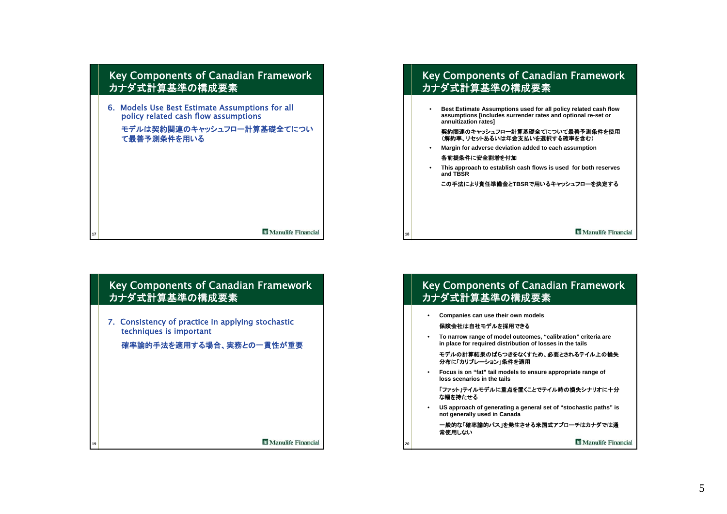

7. Consistency of practice in applying stochastic techniques is important

**19**

確率論的手法を適用する場合、実務との一貫性が重要

**M** Manulife Financial

# Key Components of Canadian Framework カナダ式計算基準の構成要素

• **Best Estimate Assumptions used for all policy related cash flow assumptions [includes surrender rates and optional re-set or annuitization rates]**

契約関連のキャッシュフロー計算基礎全てについて最善予測条件を使用(解約率、リセットあるいは年金支払いを選択する確率を含む)

- • **Margin for adverse deviation added to each assumption** 各前提条件に安全割増を付加
- **This approach to establish cash flows is used for both reserves and TBSR**

この手法により責任準備金と**TBSR**で用いるキャッシュフローを決定する

**M** Manulife Financial

# Key Components of Canadian Framework カナダ式計算基準の構成要素

• **Companies can use their own models**

**18**

**20**

## 保険会社は自社モデルを採用できる

• **To narrow range of model outcomes, "calibration" criteria are in place for required distribution of losses in the tails**

モデルの計算結果のばらつきをなくすため、必要とされるテイル上の損失分布に「カリブレーション」条件を適用

• **Focus is on "fat" tail models to ensure appropriate range of loss scenarios in the tails**

「ファット」テイルモデルに重点を置くことでテイル時の損失シナリオに十分な幅を持たせる

• **US approach of generating a general set of "stochastic paths" is not generally used in Canada**

一般的な「確率論的パス」を発生させる米国式アプローチはカナダでは通 常使用しない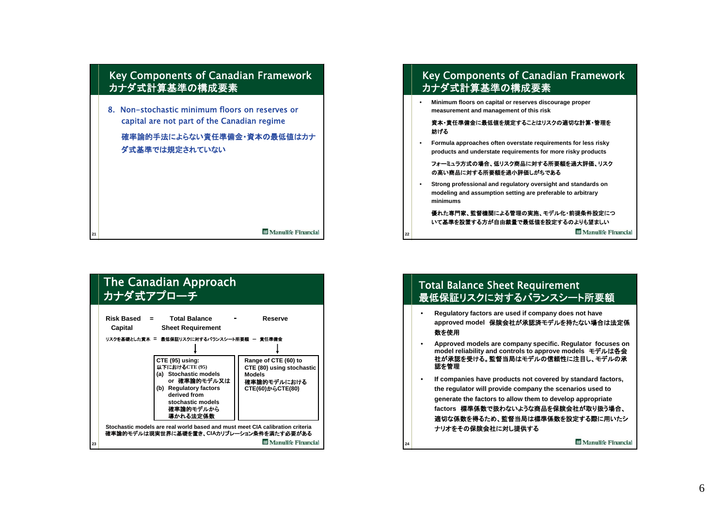



• **Minimum floors on capital or reserves discourage proper measurement and management of this risk**

### 資本・責任準備金に最低値を規定することはリスクの適切な計算・管理を妨げる

• **Formula approaches often overstate requirements for less risky products and understate requirements for more risky products**

### フォーミュラ方式の場合、低リスク商品に対する所要額を過大評価、リスクの高い商品に対する所要額を過小評価しがちである

• **Strong professional and regulatory oversight and standards on modeling and assumption setting are preferable to arbitrary minimums**

**22**

**24**

## 優れた専門家、監督機関による管理の実施、モデル化・前提条件設定につ いて基準を設置する方が自由裁量で最低値を設定するのよりも望ましい

**M** Manulife Financial

# Total Balance Sheet Requirement 最低保証リスクに対するバランスシート所要額

- • **Regulatory factors are used if company does not have approved model** 保険会社が承認済モデルを持たない場合は法定係 数を使用
- • **Approved models are company specific. Regulator focuses on model reliability and controls to approve models モデルは各会** 社が承認を受ける。監督当局はモデルの信頼性に注目し、モデルの承認を管理
- • **If companies have products not covered by standard factors, the regulator will provide company the scenarios used to generate the factors to allow them to develop appropriate factors** 標準係数で扱わないような商品を保険会社が取り扱う場合、 適切な係数を得るため、監督当局は標準係数を設定する際に用いたシナリオをその保険会社に対し提供する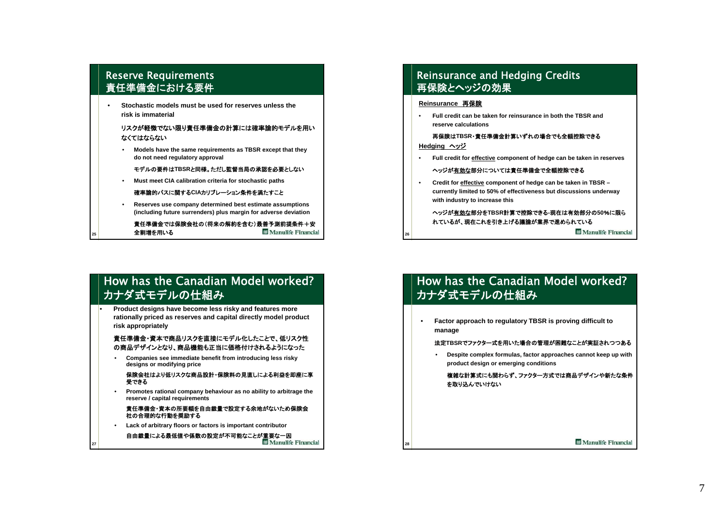# Reserve Requirements 責任準備金における要件

**25**

•

**27**

• **Stochastic models must be used for reserves unless the risk is immaterial**

## リスクが軽微でない限り責任準備金の計算には確率論的モデルを用いなくてはならない

• **Models have the same requirements as TBSR except that they do not need regulatory approval**

モデルの要件は**TBSR**と同様。ただし監督当局の承認を必要としない

• **Must meet CIA calibration criteria for stochastic paths**

確率論的パスに関する**CIA**カリブレーション条件を満たすこと

• **Reserves use company determined best estimate assumptions (including future surrenders) plus margin for adverse deviation**

責任準備金では保険会社の(将来の解約を含む)最善予測前提条件+安全割増を用いる**26** Manulife Financial

# How has the Canadian Model worked? カナダ式モデルの仕組み

 **Product designs have become less risky and features more rationally priced as reserves and capital directly model product risk appropriately**

### 責任準備金・資本で商品リスクを直接にモデル化したことで、低リスク性 の商品デザインとなり、商品機能も正当に価格付けされるようになった

• **Companies see immediate benefit from introducing less risky designs or modifying price**

#### 保険会社はより低リスクな商品設計・保険料の見直しによる利益を即座に享 受できる

• **Promotes rational company behaviour as no ability to arbitrage the reserve / capital requirements**

#### 責任準備金・資本の所要額を自由裁量で設定する余地がないため保険会社の合理的な行動を奨励する

•**Lack of arbitrary floors or factors is important contributor**

自由裁量による最低値や係数の設定が不可能なことが重要な一因**Manulife Financial** 

# Reinsurance and Hedging Credits 再保険とヘッジの効果

## **Reinsurance** 再保険

**28**

• **Full credit can be taken for reinsurance in both the TBSR andreserve calculations**

再保険は**TBSR**・責任準備金計算いずれの場合でも全額控除できる**Hedging** ヘッジ

• **Full credit for effective component of hedge can be taken in reserves**

### ヘッジが有効な部分については責任準備金で全額控除できる

• **Credit for effective component of hedge can be taken in TBSR – currently limited to 50% of effectiveness but discussions underway with industry to increase this**

## ヘッジが有効な部分を**TBSR**計算で控除できる**-**現在は有効部分の**50**%に限られているが、現在これを引き上げる議論が業界で進められている

**Manulife Financial** 

# How has the Canadian Model worked? カナダ式モデルの仕組み

• **Factor approach to regulatory TBSR is proving difficult to manage**

### 法定**TBSR**でファクター式を用いた場合の管理が困難なことが実証されつつある

• **Despite complex formulas, factor approaches cannot keep up with product design or emerging conditions**

複雑な計算式にも関わらず、ファクター方式では商品デザインや新たな条件を取り込んでいけない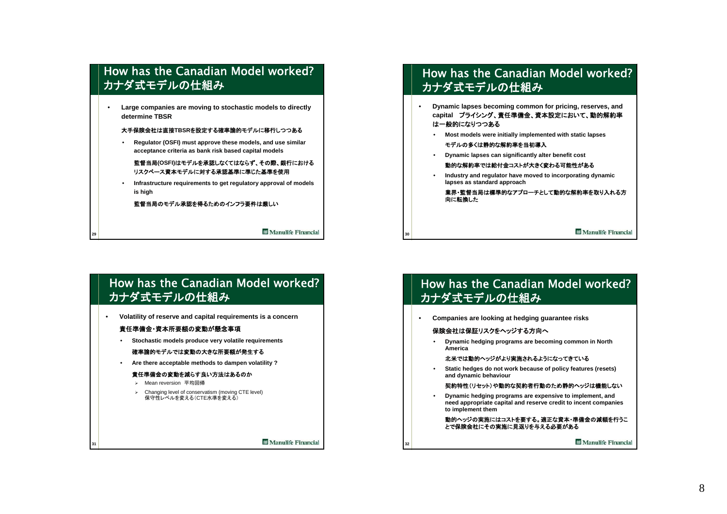# How has the Canadian Model worked?カナダ式モデルの仕組み

• **Large companies are moving to stochastic models to directly determine TBSR**

#### 大手保険会社は直接**TBSR**を設定する確率論的モデルに移行しつつある

• **Regulator (OSFI) must approve these models, and use similar acceptance criteria as bank risk based capital models**

監督当局**(OSFI)**はモデルを承認しなくてはならず、その際、銀行における リスクベース資本モデルに対する承認基準に準じた基準を使用

• **Infrastructure requirements to get regulatory approval of models is high**

監督当局のモデル承認を得るためのインフラ要件は厳しい

**M** Manulife Financial

# How has the Canadian Model worked?カナダ式モデルの仕組み

- • **Dynamic lapses becoming common for pricing, reserves, and capital** プライシング、責任準備金、資本設定において、動的解約率 は一般的になりつつある
	- **Most models were initially implemented with static lapses**

### モデルの多くは静的な解約率を当初導入

• **Dynamic lapses can significantly alter benefit cost**

#### 動的な解約率では給付金コストが大きく変わる可能性がある

• **Industry and regulator have moved to incorporating dynamic lapses as standard approach**

業界・監督当局は標準的なアプローチとして動的な解約率を取り入れる方 向に転換した

**M** Manulife Financial

# How has the Canadian Model worked?カナダ式モデルの仕組み

• **Volatility of reserve and capital requirements is a concern**

## 責任準備金・資本所要額の変動が懸念事項

**29**

**31**

•

**Stochastic models produce very volatile requirements**

### 確率論的モデルでは変動の大きな所要額が発生する

•**Are there acceptable methods to dampen volatility ?**

#### 責任準備金の変動を減らす良い方法はあるのか

- ¾ Mean reversion 平均回帰
- ¾ Changing level of conservatism (moving CTE level) 保守性レベルを変える(CTE水準を変える)

**M** Manulife Financial

# How has the Canadian Model worked?カナダ式モデルの仕組み

•**Companies are looking at hedging guarantee risks**

### 保険会社は保証リスクをヘッジする方向へ

**30**

**32**

• **Dynamic hedging programs are becoming common in North America**

### 北米では動的ヘッジがより実施されるようになってきている

• **Static hedges do not work because of policy features (resets) and dynamic behaviour**

### 契約特性(リセット)や動的な契約者行動のため静的ヘッジは機能しない

• **Dynamic hedging programs are expensive to implement, and need appropriate capital and reserve credit to incent companies to implement them**

動的ヘッジの実施にはコストを要する。適正な資本・準備金の減額を行うこ とで保険会社にその実施に見返りを与える必要がある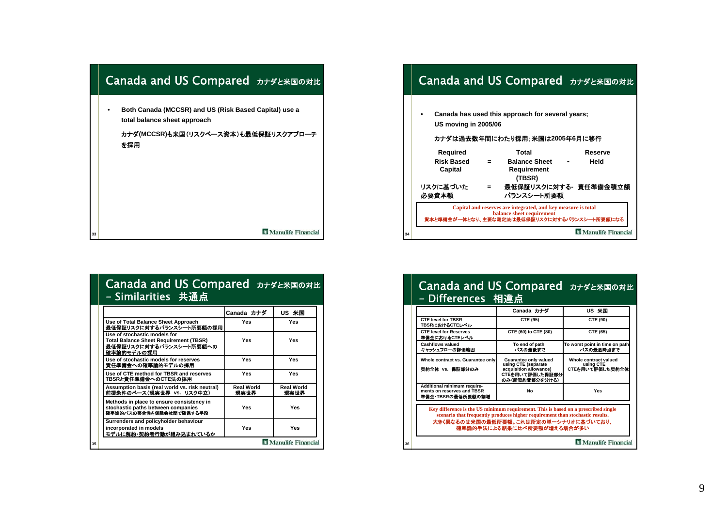

## Canada and US Compared カナダと米国の対比 **Canada has used this approach for several years;** •**US moving in 2005/06** カナダは過去数年間にわたり採用;米国は**2005**年**6**月に移行**Required Total Reserve Risk Based = Balance Sheet - HeldCapital Requirement (TBSR)** リスクに基づいた **<sup>=</sup>** 最低保証リスクに対する**-** 責任準備金積立額 必要資本額 バランスシート所要額 **Capital and reserves are integrated, and key measure is total balance sheet requirement** 資本と準備金が一体となり、主要な測定法は最低保証リスクに対するバランスシート所要額になる **M** Manulife Financial **34**

|                      | Canada and US Compared カナダと米国の対比 |  |
|----------------------|----------------------------------|--|
| 「- Similarities 共通点」 |                                  |  |

| Canada カナダ                | US 米国                     |
|---------------------------|---------------------------|
| Yes                       | Yes                       |
| Yes                       | Yes                       |
| Yes                       | Yes                       |
| Yes                       | Yes                       |
| <b>Real World</b><br>現実世界 | <b>Real World</b><br>現実世界 |
| Yes                       | Yes                       |
| Yes                       | Yes                       |
|                           |                           |

# Canada and US Compared カナダと米国の対比 - Differences 相違点

|                                                                                | Canada カナダ                                                                                                                                                          | US 米国                                                 |
|--------------------------------------------------------------------------------|---------------------------------------------------------------------------------------------------------------------------------------------------------------------|-------------------------------------------------------|
| <b>CTE level for TBSR</b><br>TBSRにおけるCTEレベル                                    | CTE (95)                                                                                                                                                            | CTE (90)                                              |
| <b>CTE level for Reserves</b><br>準備金におけるCTEレベル                                 | CTE (60) to CTE (80)                                                                                                                                                | CTE (65)                                              |
| <b>Cashflows valued</b><br>キャッシュフローの評価範囲                                       | To end of path<br>パスの最後まで                                                                                                                                           | To worst point in time on path<br>パスの最悪時点まで           |
| Whole contract vs. Guarantee only<br>契約全体 vs. 保証部分のみ                           | Guarantee only valued<br>using CTE (separate<br>acquisition allowance)<br>CTEを用いて評価した保証部分<br>のみ(新契約費部分を分ける)                                                         | Whole contract valued<br>using CTE<br>CTEを用いて評価した契約全体 |
| Additional minimum require-<br>ments on reserves and TBSR<br>準備金·TBSRの最低所要額の割増 | No                                                                                                                                                                  | Yes                                                   |
|                                                                                | Key difference is the US minimum requirement. This is based on a prescribed single<br>scenario that frequently produces higher requirement than stochastic results. |                                                       |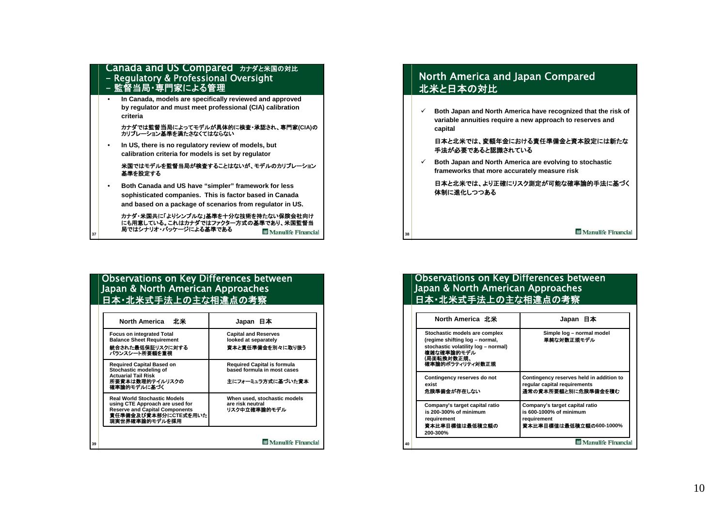## Canada and US Compared カナダと米国の対比 - Regulatory & Professional Oversight - 監督当局・専門家による管理

• **In Canada, models are specifically reviewed and approved by regulator and must meet professional (CIA) calibration criteria**

# カナダでは監督当局によってモデルが具体的に検査・承認され、専門家**(CIA)**<sup>の</sup> カリブレーション基準を満たさなくてはならない

• **In US, there is no regulatory review of models, but calibration criteria for models is set by regulator**

米国ではモデルを監督当局が検査することはないが、モデルのカリブレーション 基準を設定する

• **Both Canada and US have "simpler" framework for less sophisticated companies. This is factor based in Canada and based on a package of scenarios from regulator in US.**

カナダ・米国共に「よりシンプルな」基準を十分な技術を持たない保険会社向け にも用意している。これはカナダではファクター方式の基準であり、米国監督当 局ではシナリオ・パッケージによる基準である **M** Manulife Financial

## Observations on Key Differences between Japan & North American Approaches 日本・北米式手法上の主な相違点の考察

**37**

| 北米<br><b>North America</b>                                                                                                                                | Japan 日本                                                          |
|-----------------------------------------------------------------------------------------------------------------------------------------------------------|-------------------------------------------------------------------|
| <b>Focus on integrated Total</b><br><b>Balance Sheet Requirement</b>                                                                                      | <b>Capital and Reserves</b><br>looked at separately               |
| 統合された最低保証リスクに対する<br>バランスシート所要額を重視                                                                                                                         | 資本と責任準備金を別々に取り扱う                                                  |
| <b>Required Capital Based on</b><br>Stochastic modeling of<br><b>Actuarial Tail Risk</b>                                                                  | <b>Required Capital is formula</b><br>based formula in most cases |
| 所要資本は数理的テイルリスクの<br>確率論的モデルに基づく                                                                                                                            | 主にフォーミュラ方式に基づいた資本                                                 |
| <b>Real World Stochastic Models</b><br>using CTE Approach are used for<br><b>Reserve and Capital Components</b><br>責任準備金及び資本部分にCTE式を用いた<br>現実世界確率論的モデルを採用 | When used, stochastic models<br>are risk neutral<br>リスク中立確率論的モデル  |

## North America and Japan Compared 北米と日本の対比

 $\checkmark$  **Both Japan and North America have recognized that the risk of variable annuities require a new approach to reserves and capital**

### 日本と北米では、変額年金における責任準備金と資本設定には新たな手法が必要であると認識されている

 $\checkmark$  **Both Japan and North America are evolving to stochastic frameworks that more accurately measure risk**

日本と北米では、より正確にリスク測定が可能な確率論的手法に基づく 体制に進化しつつある

**M** Manulife Financial

## Observations on Key Differences between Japan & North American Approaches 日本・北米式手法上の主な相違点の考察

**38**

| North America 北米                                                                                                                                      | Japan 日本                                                                                            |
|-------------------------------------------------------------------------------------------------------------------------------------------------------|-----------------------------------------------------------------------------------------------------|
| Stochastic models are complex<br>(regime shifting log - normal,<br>stochastic volatility log - normal)<br>複雑な確率論的モデル<br>(局面転換対数正規、<br>確率論的ポラティリティ対数正規 | Simple log - normal model<br>単純な対数正規モデル                                                             |
| Contingency reserves do not<br>exist<br>危険準備金が存在しない                                                                                                   | Contingency reserves held in addition to<br>regular capital requirements<br>通常の資本所要額と別に危険準備金を積む     |
| Company's target capital ratio<br>is 200-300% of minimum<br>requirement<br>資本比率目標値は最低稽立額の<br>200-300%                                                 | Company's target capital ratio<br>is 600-1000% of minimum<br>requirement<br>資本比率目標値は最低稽立額の600-1000% |
|                                                                                                                                                       | <b>III</b> Manulife Financial                                                                       |